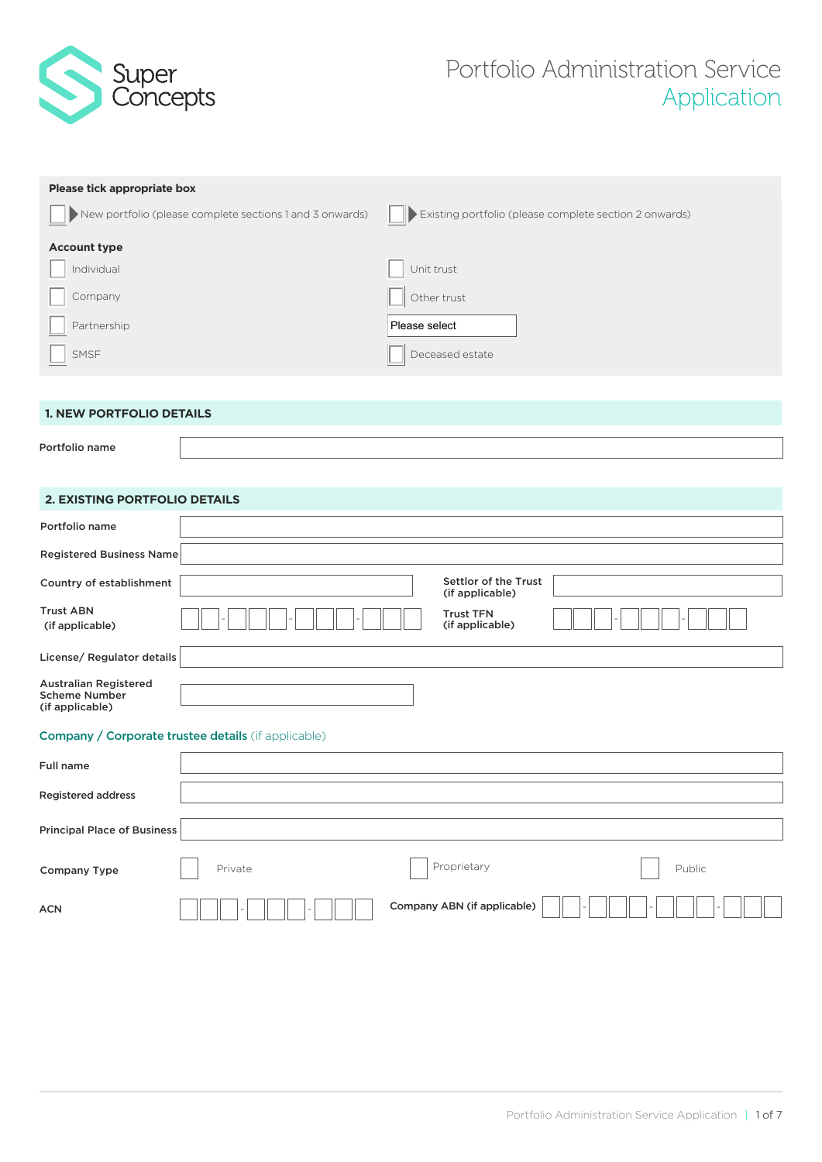

# Portfolio Administration Service Application

| Please tick appropriate box                              |                                                        |
|----------------------------------------------------------|--------------------------------------------------------|
| New portfolio (please complete sections 1 and 3 onwards) | Existing portfolio (please complete section 2 onwards) |
| <b>Account type</b>                                      |                                                        |
| Individual                                               | Unit trust                                             |
| Company                                                  | Other trust                                            |
| Partnership                                              | Please select                                          |
| SMSF                                                     | Deceased estate                                        |
|                                                          |                                                        |
| <b>1. NEW PORTFOLIO DETAILS</b>                          |                                                        |

Portfolio name

# **2. EXISTING PORTFOLIO DETAILS**

| Portfolio name                                                          |                                                            |                                         |        |
|-------------------------------------------------------------------------|------------------------------------------------------------|-----------------------------------------|--------|
| <b>Registered Business Name</b>                                         |                                                            |                                         |        |
| Country of establishment                                                |                                                            | Settlor of the Trust<br>(if applicable) |        |
| <b>Trust ABN</b><br>(if applicable)                                     |                                                            | <b>Trust TFN</b><br>(if applicable)     |        |
| License/ Regulator details                                              |                                                            |                                         |        |
| <b>Australian Registered</b><br><b>Scheme Number</b><br>(if applicable) |                                                            |                                         |        |
|                                                                         | <b>Company / Corporate trustee details</b> (if applicable) |                                         |        |
| <b>Full name</b>                                                        |                                                            |                                         |        |
| Registered address                                                      |                                                            |                                         |        |
| <b>Principal Place of Business</b>                                      |                                                            |                                         |        |
| <b>Company Type</b>                                                     | Private                                                    | Proprietary                             | Public |
| <b>ACN</b>                                                              |                                                            | Company ABN (if applicable)             |        |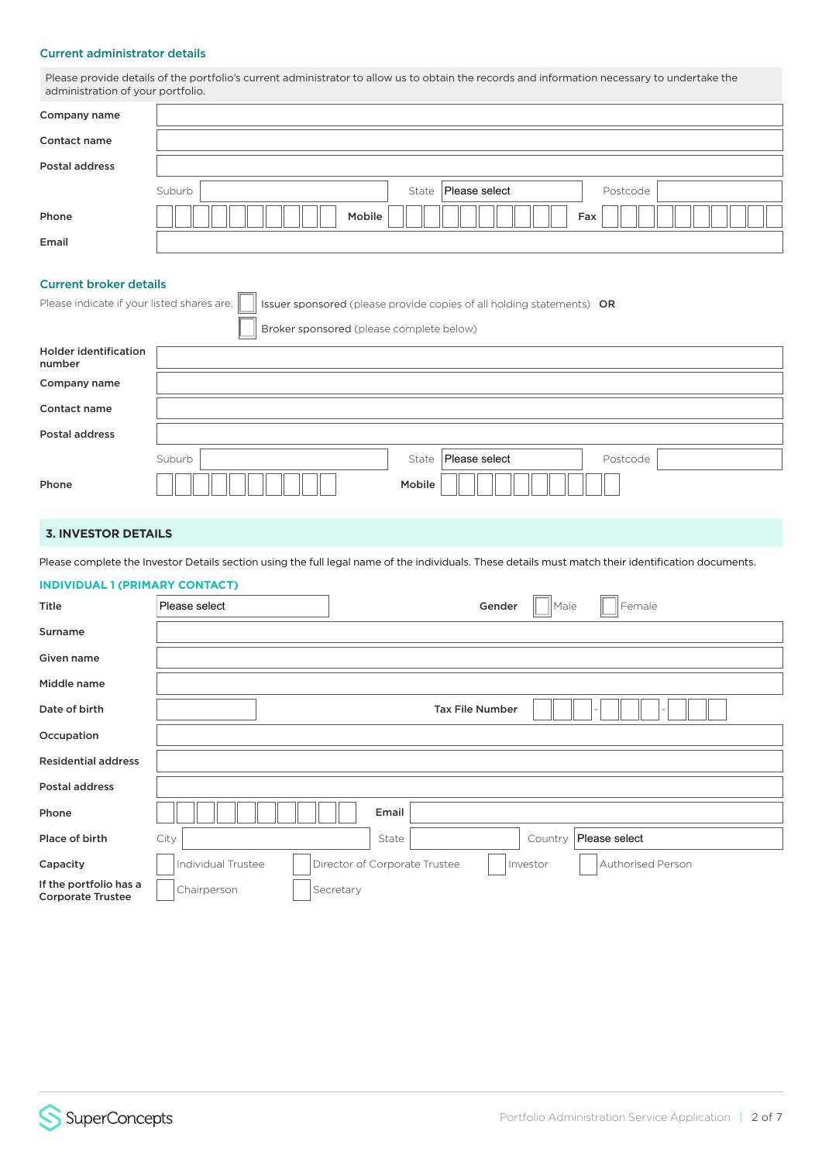#### Current administrator details

Please provide details of the portfolio's current administrator to allow us to obtain the records and information necessary to undertake the administration of your portfolio.

| Company name   |                                                |
|----------------|------------------------------------------------|
| Contact name   |                                                |
| Postal address |                                                |
|                | Please select<br>Suburb<br>State  <br>Postcode |
| Phone          | Mobile<br>Fax                                  |
| Email          |                                                |

# Current broker details

 $\overline{\phantom{a}}$ 

| Please indicate if your listed shares are: |        |                                          |        | Issuer sponsored (please provide copies of all holding statements) OR |          |
|--------------------------------------------|--------|------------------------------------------|--------|-----------------------------------------------------------------------|----------|
|                                            |        | Broker sponsored (please complete below) |        |                                                                       |          |
| <b>Holder identification</b><br>number     |        |                                          |        |                                                                       |          |
| Company name                               |        |                                          |        |                                                                       |          |
| Contact name                               |        |                                          |        |                                                                       |          |
| <b>Postal address</b>                      |        |                                          |        |                                                                       |          |
|                                            | Suburb |                                          | State  | Please select                                                         | Postcode |
| Phone                                      |        |                                          | Mobile |                                                                       |          |

### **3. INVESTOR DETAILS**

Please complete the Investor Details section using the full legal name of the individuals. These details must match their identification documents.

#### **INDIVIDUAL 1 (PRIMARY CONTACT)**

| Title                                              | Please select      | Gender<br>Female<br>$\parallel$ Male                           |
|----------------------------------------------------|--------------------|----------------------------------------------------------------|
| Surname                                            |                    |                                                                |
| Given name                                         |                    |                                                                |
| Middle name                                        |                    |                                                                |
| Date of birth                                      |                    | <b>Tax File Number</b>                                         |
| Occupation                                         |                    |                                                                |
| <b>Residential address</b>                         |                    |                                                                |
| Postal address                                     |                    |                                                                |
| Phone                                              |                    | Email                                                          |
| Place of birth                                     | City               | Please select<br>State<br>Country                              |
| Capacity                                           | Individual Trustee | Director of Corporate Trustee<br>Authorised Person<br>Investor |
| If the portfolio has a<br><b>Corporate Trustee</b> | Chairperson        | Secretary                                                      |

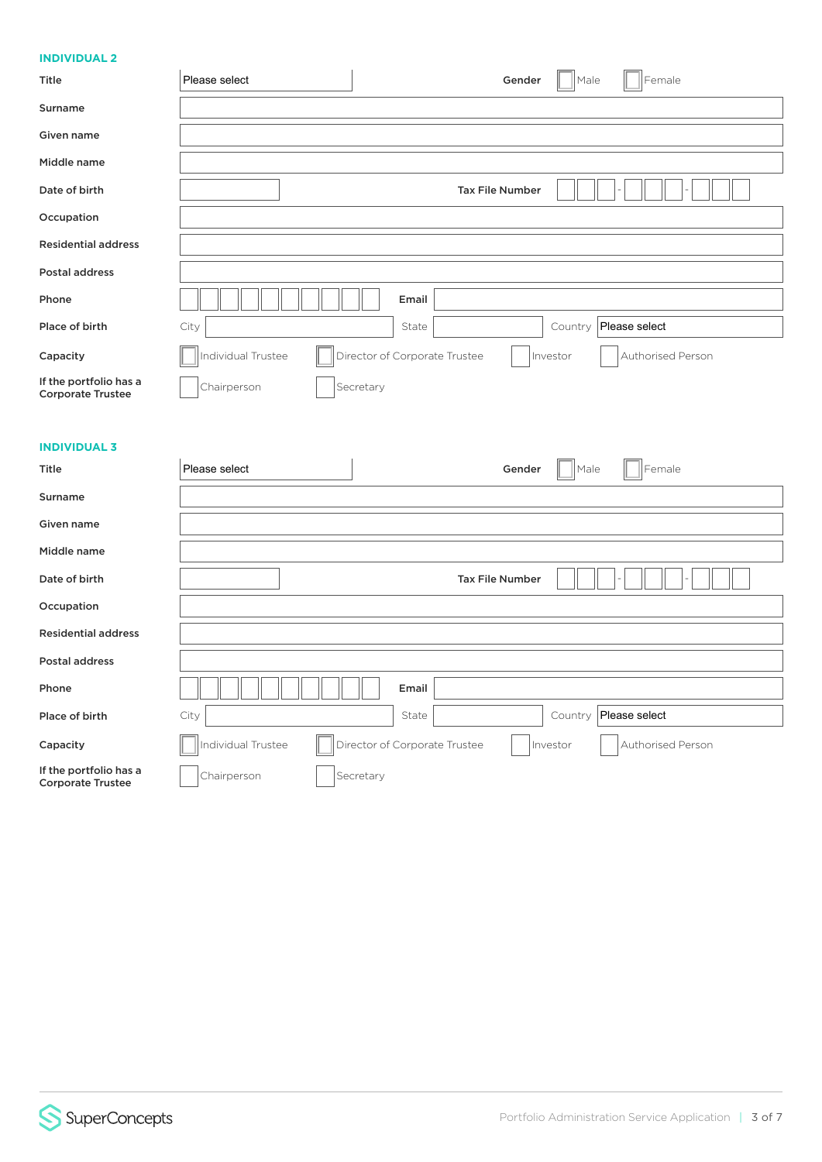# **INDIVIDUAL 2**

| <b>INDIVIDUAL Z</b>                                |                                                                                      |
|----------------------------------------------------|--------------------------------------------------------------------------------------|
| Title                                              | Male<br>Female<br>Please select<br>Gender                                            |
| Surname                                            |                                                                                      |
| Given name                                         |                                                                                      |
| Middle name                                        |                                                                                      |
| Date of birth                                      | <b>Tax File Number</b>                                                               |
| Occupation                                         |                                                                                      |
| <b>Residential address</b>                         |                                                                                      |
| Postal address                                     |                                                                                      |
| Phone                                              | Email                                                                                |
| Place of birth                                     | Please select<br>City<br>State<br>Country                                            |
| Capacity                                           | Director of Corporate Trustee<br>Individual Trustee<br>Authorised Person<br>Investor |
| If the portfolio has a<br><b>Corporate Trustee</b> | Chairperson<br>Secretary                                                             |
|                                                    |                                                                                      |
| <b>INDIVIDUAL 3</b>                                |                                                                                      |
| Title                                              | Female<br>Please select<br>Male<br>Gender                                            |
| Surname                                            |                                                                                      |
| Given name                                         |                                                                                      |
| Middle name                                        |                                                                                      |
| Date of birth                                      | <b>Tax File Number</b>                                                               |
| Occupation                                         |                                                                                      |
| <b>Residential address</b>                         |                                                                                      |
| <b>Postal address</b>                              |                                                                                      |
| Phone                                              | Email                                                                                |
| Place of birth                                     | Please select<br>City<br>State<br>Country                                            |
| Capacity                                           | Individual Trustee<br>Director of Corporate Trustee<br>Investor<br>Authorised Person |

If the portfolio has a<br>
Corporate Trustee Corporate Chairperson **Corporate Trustee**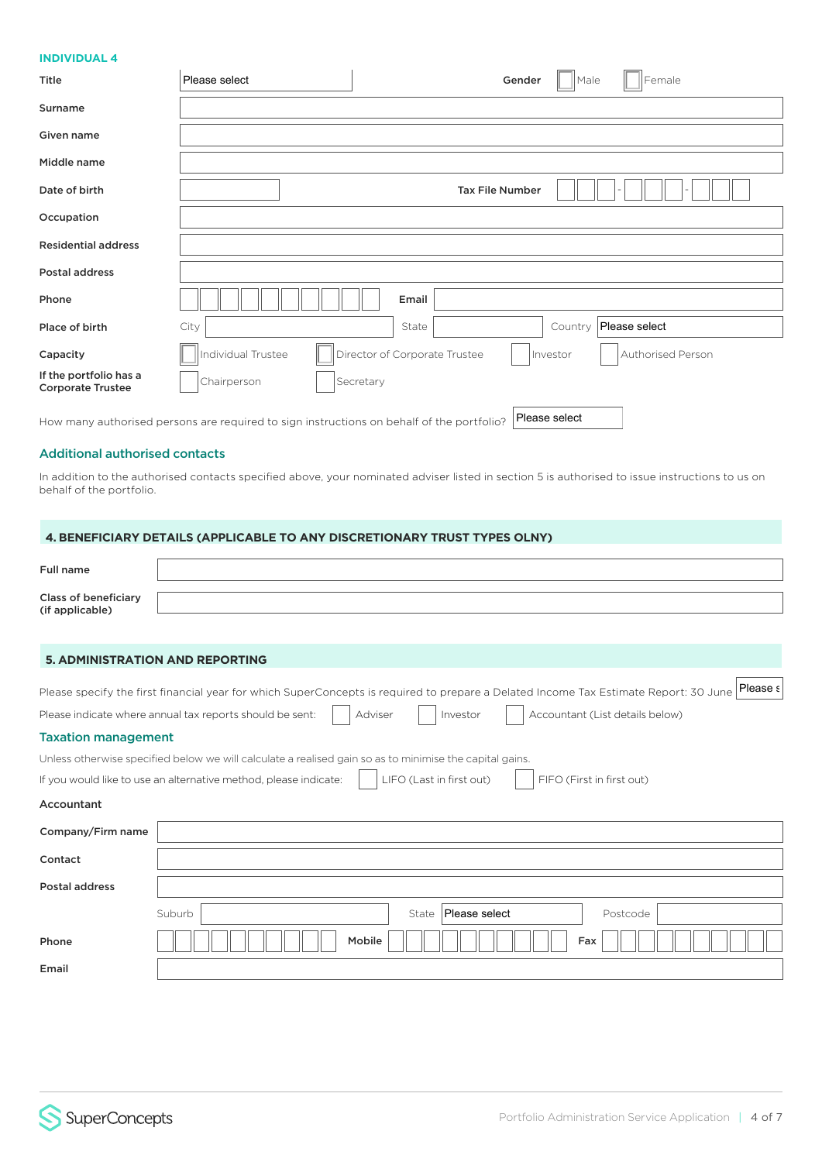#### **INDIVIDUAL 4**

| Title                                              | Please select      | Gender                        | Female<br>Male                |
|----------------------------------------------------|--------------------|-------------------------------|-------------------------------|
| Surname                                            |                    |                               |                               |
| Given name                                         |                    |                               |                               |
| Middle name                                        |                    |                               |                               |
| Date of birth                                      |                    | <b>Tax File Number</b>        |                               |
| Occupation                                         |                    |                               |                               |
| <b>Residential address</b>                         |                    |                               |                               |
| Postal address                                     |                    |                               |                               |
| Phone                                              |                    | Email                         |                               |
| Place of birth                                     | City               | State                         | Please select<br>Country      |
| Capacity                                           | Individual Trustee | Director of Corporate Trustee | Authorised Person<br>Investor |
| If the portfolio has a<br><b>Corporate Trustee</b> | Chairperson        | Secretary                     |                               |
|                                                    |                    |                               |                               |

How many authorised persons are required to sign instructions on behalf of the portfolio? Please select

# Additional authorised contacts

In addition to the authorised contacts specified above, your nominated adviser listed in section 5 is authorised to issue instructions to us on behalf of the portfolio.

# **4. BENEFICIARY DETAILS (APPLICABLE TO ANY DISCRETIONARY TRUST TYPES OLNY)**

| Full name                                      |                                                                                                                                                  |
|------------------------------------------------|--------------------------------------------------------------------------------------------------------------------------------------------------|
| <b>Class of beneficiary</b><br>(if applicable) |                                                                                                                                                  |
|                                                |                                                                                                                                                  |
| <b>5. ADMINISTRATION AND REPORTING</b>         |                                                                                                                                                  |
|                                                | Please s<br>Please specify the first financial year for which SuperConcepts is required to prepare a Delated Income Tax Estimate Report: 30 June |
|                                                | Accountant (List details below)<br>Please indicate where annual tax reports should be sent:<br>Adviser<br>Investor                               |
| <b>Taxation management</b>                     |                                                                                                                                                  |
|                                                | Unless otherwise specified below we will calculate a realised gain so as to minimise the capital gains.                                          |
|                                                | LIFO (Last in first out)<br>If you would like to use an alternative method, please indicate:<br>FIFO (First in first out)                        |
| Accountant                                     |                                                                                                                                                  |
| Company/Firm name                              |                                                                                                                                                  |
| Contact                                        |                                                                                                                                                  |
| Postal address                                 |                                                                                                                                                  |
|                                                | Suburb<br>Please select<br>State<br>Postcode                                                                                                     |
| Phone                                          | Mobile<br>Fax                                                                                                                                    |
| Email                                          |                                                                                                                                                  |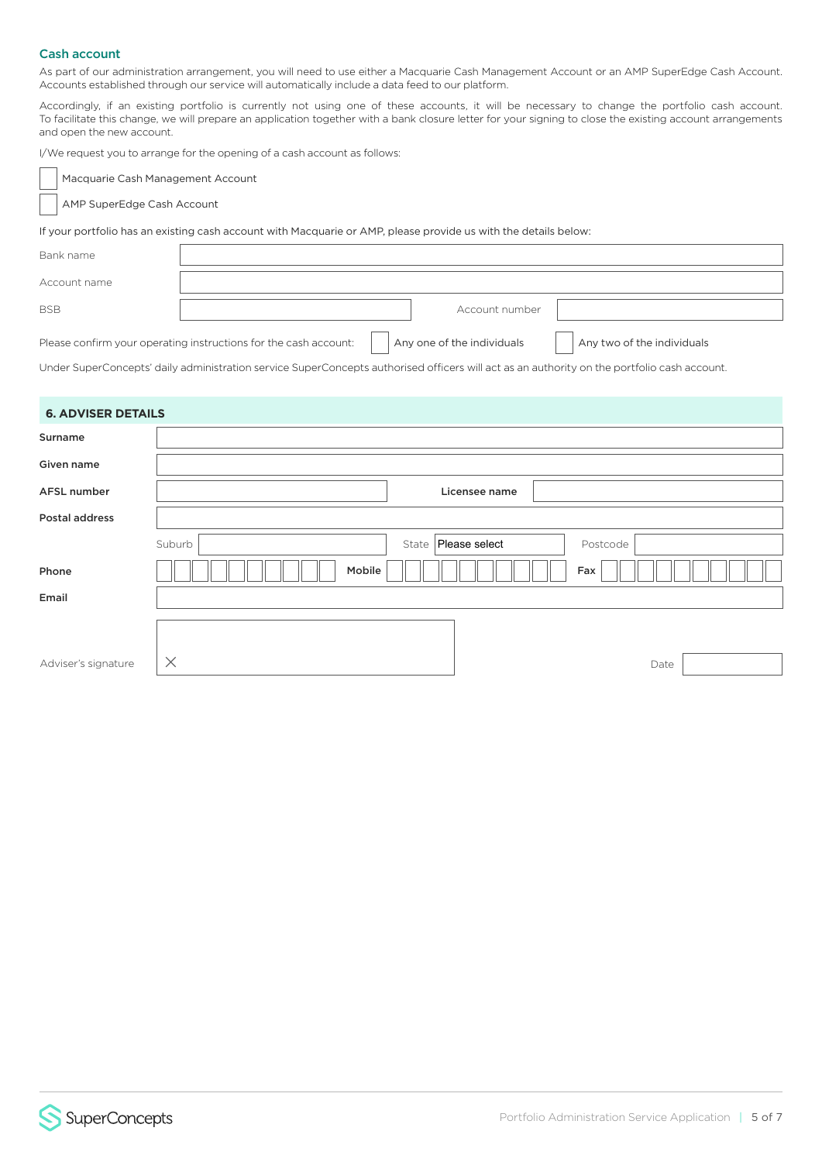# Cash account

As part of our administration arrangement, you will need to use either a Macquarie Cash Management Account or an AMP SuperEdge Cash Account. Accounts established through our service will automatically include a data feed to our platform.

Accordingly, if an existing portfolio is currently not using one of these accounts, it will be necessary to change the portfolio cash account. To facilitate this change, we will prepare an application together with a bank closure letter for your signing to close the existing account arrangements and open the new account.

I/We request you to arrange for the opening of a cash account as follows:

Macquarie Cash Management Account

AMP SuperEdge Cash Account

If your portfolio has an existing cash account with Macquarie or AMP, please provide us with the details below:

| Bank name    |                                                                  |                            |                            |
|--------------|------------------------------------------------------------------|----------------------------|----------------------------|
| Account name |                                                                  |                            |                            |
| <b>BSB</b>   |                                                                  | Account number             |                            |
|              | Please confirm your operating instructions for the cash account: | Any one of the individuals | Any two of the individuals |

Under SuperConcepts' daily administration service SuperConcepts authorised officers will act as an authority on the portfolio cash account.

| <b>6. ADVISER DETAILS</b> |                                             |  |
|---------------------------|---------------------------------------------|--|
| Surname                   |                                             |  |
| Given name                |                                             |  |
| AFSL number               | Licensee name                               |  |
| Postal address            |                                             |  |
|                           | State   Please select<br>Suburb<br>Postcode |  |
| Phone                     | Mobile<br>Fax                               |  |
| Email                     |                                             |  |
|                           |                                             |  |
| Adviser's signature       | $\times$<br>Date                            |  |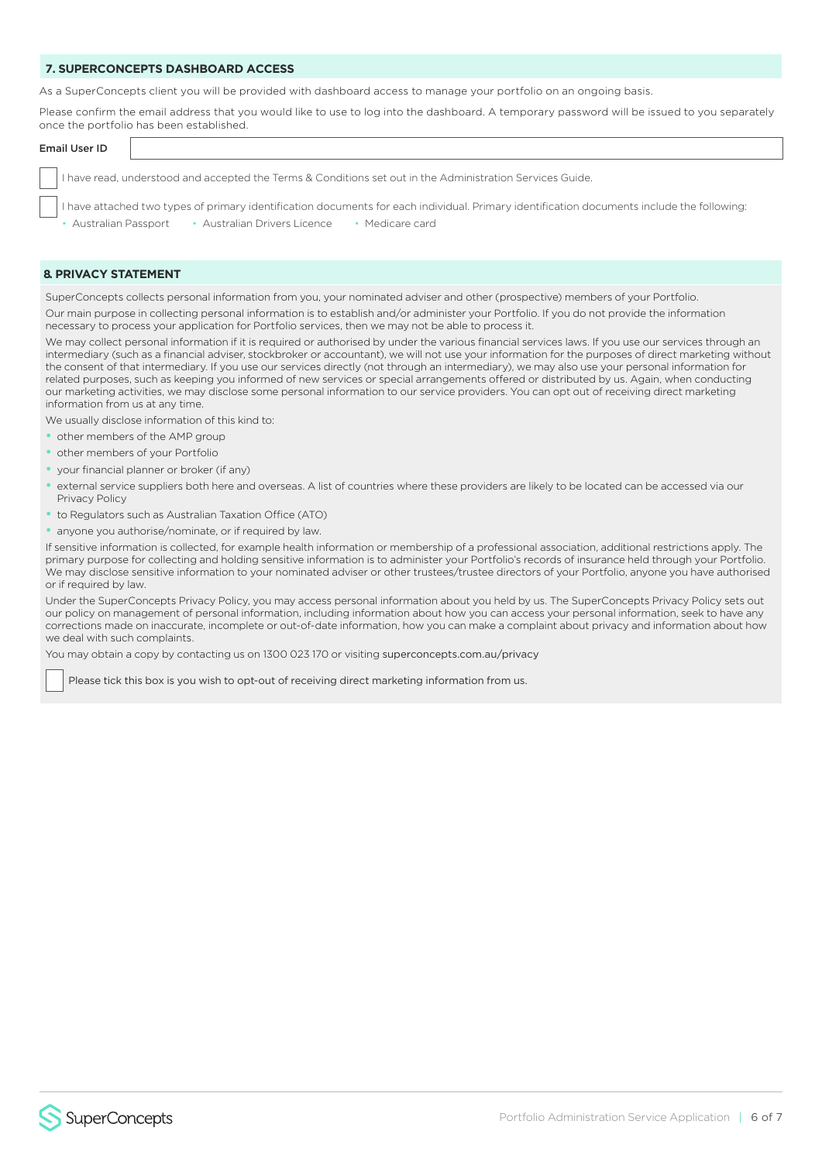#### **7. SUPERCONCEPTS DASHBOARD ACCESS**

As a SuperConcepts client you will be provided with dashboard access to manage your portfolio on an ongoing basis.

Please confirm the email address that you would like to use to log into the dashboard. A temporary password will be issued to you separately once the portfolio has been established.

# Email User ID I have read, understood and accepted the Terms & Conditions set out in the Administration Services Guide.

I have attached two types of primary identification documents for each individual. Primary identification documents include the following:

• Australian Passport • Australian Drivers Licence • Medicare card

#### **8. PRIVACY STATEMENT**

SuperConcepts collects personal information from you, your nominated adviser and other (prospective) members of your Portfolio.

Our main purpose in collecting personal information is to establish and/or administer your Portfolio. If you do not provide the information necessary to process your application for Portfolio services, then we may not be able to process it.

We may collect personal information if it is required or authorised by under the various financial services laws. If you use our services through an intermediary (such as a financial adviser, stockbroker or accountant), we will not use your information for the purposes of direct marketing without the consent of that intermediary. If you use our services directly (not through an intermediary), we may also use your personal information for related purposes, such as keeping you informed of new services or special arrangements offered or distributed by us. Again, when conducting our marketing activities, we may disclose some personal information to our service providers. You can opt out of receiving direct marketing information from us at any time.

We usually disclose information of this kind to:

- other members of the AMP group
- other members of your Portfolio
- your financial planner or broker (if any)
- external service suppliers both here and overseas. A list of countries where these providers are likely to be located can be accessed via our Privacy Policy
- to Regulators such as Australian Taxation Office (ATO)
- anyone you authorise/nominate, or if required by law.

If sensitive information is collected, for example health information or membership of a professional association, additional restrictions apply. The primary purpose for collecting and holding sensitive information is to administer your Portfolio's records of insurance held through your Portfolio. We may disclose sensitive information to your nominated adviser or other trustees/trustee directors of your Portfolio, anyone you have authorised or if required by law.

Under the SuperConcepts Privacy Policy, you may access personal information about you held by us. The SuperConcepts Privacy Policy sets out our policy on management of personal information, including information about how you can access your personal information, seek to have any corrections made on inaccurate, incomplete or out-of-date information, how you can make a complaint about privacy and information about how we deal with such complaints.

You may obtain a copy by contacting us on 1300 023 170 or visiting superconcepts.com.au/privacy

Please tick this box is you wish to opt-out of receiving direct marketing information from us.